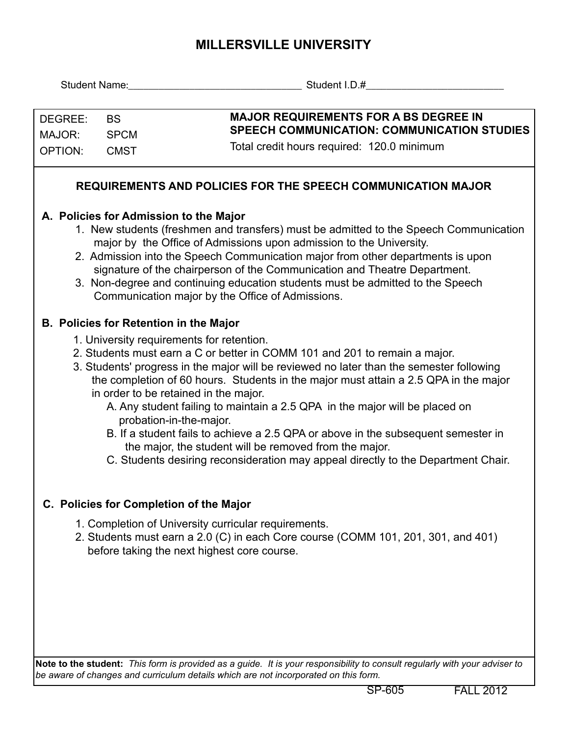## **MILLERSVILLE UNIVERSITY**

|                                                                                                                                                                                                                                                                                                                                                                                                                                                                                                              |                                               | Student Name: Student I.D.#                                                                                                                                                                                                                                                                                                                                                                                                                                                                                                                                                                                                                                                                        |  |  |  |  |  |  |  |
|--------------------------------------------------------------------------------------------------------------------------------------------------------------------------------------------------------------------------------------------------------------------------------------------------------------------------------------------------------------------------------------------------------------------------------------------------------------------------------------------------------------|-----------------------------------------------|----------------------------------------------------------------------------------------------------------------------------------------------------------------------------------------------------------------------------------------------------------------------------------------------------------------------------------------------------------------------------------------------------------------------------------------------------------------------------------------------------------------------------------------------------------------------------------------------------------------------------------------------------------------------------------------------------|--|--|--|--|--|--|--|
| DEGREE:<br><b>BS</b><br>MAJOR:<br><b>SPCM</b><br><b>OPTION:</b><br><b>CMST</b>                                                                                                                                                                                                                                                                                                                                                                                                                               |                                               | <b>MAJOR REQUIREMENTS FOR A BS DEGREE IN</b><br><b>SPEECH COMMUNICATION: COMMUNICATION STUDIES</b><br>Total credit hours required: 120.0 minimum                                                                                                                                                                                                                                                                                                                                                                                                                                                                                                                                                   |  |  |  |  |  |  |  |
| <b>REQUIREMENTS AND POLICIES FOR THE SPEECH COMMUNICATION MAJOR</b>                                                                                                                                                                                                                                                                                                                                                                                                                                          |                                               |                                                                                                                                                                                                                                                                                                                                                                                                                                                                                                                                                                                                                                                                                                    |  |  |  |  |  |  |  |
| A. Policies for Admission to the Major<br>1. New students (freshmen and transfers) must be admitted to the Speech Communication<br>major by the Office of Admissions upon admission to the University.<br>2. Admission into the Speech Communication major from other departments is upon<br>signature of the chairperson of the Communication and Theatre Department.<br>3. Non-degree and continuing education students must be admitted to the Speech<br>Communication major by the Office of Admissions. |                                               |                                                                                                                                                                                                                                                                                                                                                                                                                                                                                                                                                                                                                                                                                                    |  |  |  |  |  |  |  |
|                                                                                                                                                                                                                                                                                                                                                                                                                                                                                                              | <b>B. Policies for Retention in the Major</b> | 1. University requirements for retention.<br>2. Students must earn a C or better in COMM 101 and 201 to remain a major.<br>3. Students' progress in the major will be reviewed no later than the semester following<br>the completion of 60 hours. Students in the major must attain a 2.5 QPA in the major<br>in order to be retained in the major.<br>A. Any student failing to maintain a 2.5 QPA in the major will be placed on<br>probation-in-the-major.<br>B. If a student fails to achieve a 2.5 QPA or above in the subsequent semester in<br>the major, the student will be removed from the major.<br>C. Students desiring reconsideration may appeal directly to the Department Chair. |  |  |  |  |  |  |  |
|                                                                                                                                                                                                                                                                                                                                                                                                                                                                                                              |                                               | C. Policies for Completion of the Major<br>1. Completion of University curricular requirements.<br>2. Students must earn a 2.0 (C) in each Core course (COMM 101, 201, 301, and 401)<br>before taking the next highest core course.                                                                                                                                                                                                                                                                                                                                                                                                                                                                |  |  |  |  |  |  |  |

**Note to the student:** *This form is provided as a guide. It is your responsibility to consult regularly with your adviser to be aware of changes and curriculum details which are not incorporated on this form.*